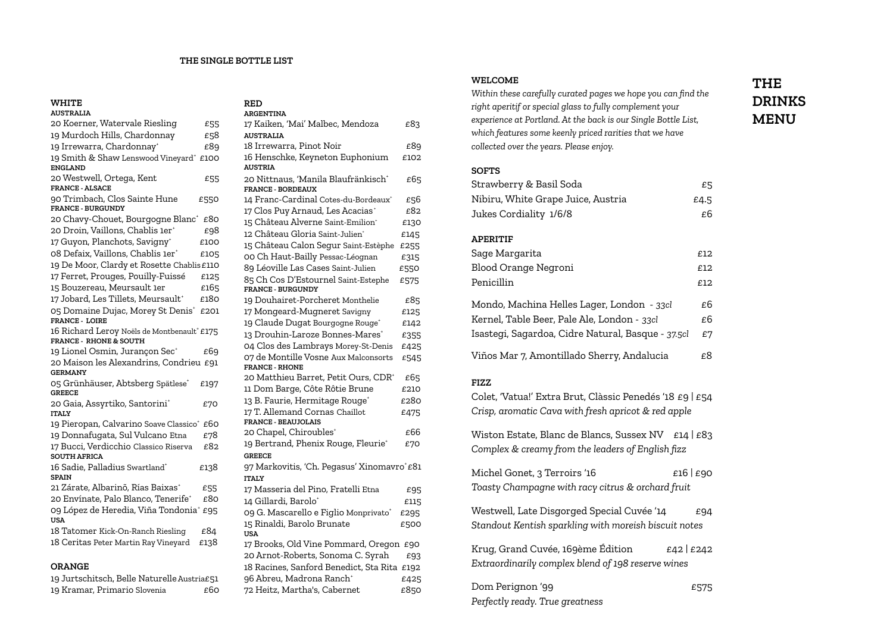#### **THE SINGLE BOTTLE LIST**

**RED**

## **WHITE**

| <b>AUSTRALIA</b>                                                                 |      |
|----------------------------------------------------------------------------------|------|
| 20 Koerner, Watervale Riesling                                                   | £55  |
| 19 Murdoch Hills, Chardonnay                                                     | £58  |
| 19 Irrewarra, Chardonnay*                                                        | £89  |
| 19 Smith & Shaw Lenswood Vineyard*<br><b>ENGLAND</b>                             | £100 |
| 20 Westwell, Ortega, Kent<br><b>FRANCE - ALSACE</b>                              | £55  |
| 90 Trimbach, Clos Sainte Hune<br><b>FRANCE - BURGUNDY</b>                        | £550 |
| 20 Chavy-Chouet, Bourgogne Blanc <sup>+</sup> £80                                |      |
| 20 Droin, Vaillons, Chablis 1er <sup>+</sup>                                     | £98  |
| 17 Guyon, Planchots, Savigny <sup>+</sup>                                        | £100 |
| 08 Defaix, Vaillons, Chablis 1er <sup>+</sup>                                    | £105 |
| 19 De Moor, Clardy et Rosette Chablis£110                                        |      |
| 17 Ferret, Prouges, Pouilly-Fuissé                                               | £125 |
| 15 Bouzereau, Meursault 1er                                                      | £165 |
| 17 Jobard, Les Tillets, Meursault*                                               | £180 |
| 05 Domaine Dujac, Morey St Denis <sup>+</sup> £201<br><b>FRANCE - LOIRE</b>      |      |
| 16 Richard Leroy Noëls de Montbenault* £175<br><b>FRANCE - RHONE &amp; SOUTH</b> |      |
| 19 Lionel Osmin, Jurançon Sec <sup>+</sup>                                       | £69  |
| 20 Maison les Alexandrins, Condrieu £91<br><b>GERMANY</b>                        |      |
| 05 Grünhäuser, Abtsberg Spätlese*<br><b>GREECE</b>                               | £197 |
| 20 Gaia, Assyrtiko, Santorini <sup>+</sup><br><b>ITALY</b>                       | £70  |
| 19 Pieropan, Calvarino Soave Classico* £60                                       |      |
| 19 Donnafugata, Sul Vulcano Etna                                                 | £78  |
| 17 Bucci, Verdicchio Classico Riserva<br><b>SOUTH AFRICA</b>                     | £82  |
| 16 Sadie, Palladius Swartland*<br><b>SPAIN</b>                                   | £138 |
| 21 Zárate, Albarinõ, Rías Baixas*                                                | £55  |
| 20 Envínate, Palo Blanco, Tenerife <sup>+</sup>                                  | £80  |
| 09 López de Heredia, Viña Tondonia <sup>+</sup><br><b>USA</b>                    | £95  |
| 18 Tatomer Kick-On-Ranch Riesling                                                | £84  |
| 18 Ceritas Peter Martin Ray Vineyard                                             | £138 |
| חמזו גם                                                                          |      |

#### **ORANGE**

|                              | 19 Jurtschitsch, Belle Naturelle Austria£51 |      |
|------------------------------|---------------------------------------------|------|
| 19 Kramar, Primario Slovenia |                                             | £60. |

| <b>ARGENTINA</b>                                                |      |
|-----------------------------------------------------------------|------|
| 17 Kaiken, 'Mai' Malbec, Mendoza                                | £83  |
| <b>AUSTRALIA</b>                                                |      |
| 18 Irrewarra, Pinot Noir                                        | £89  |
| 16 Henschke, Keyneton Euphonium                                 | £102 |
| <b>AUSTRIA</b>                                                  |      |
| 20 Nittnaus, 'Manila Blaufränkisch'<br><b>FRANCE - BORDEAUX</b> | £65  |
| 14 Franc-Cardinal Cotes-du-Bordeaux <sup>+</sup>                | £56  |
| 17 Clos Puy Arnaud, Les Acacias <sup>+</sup>                    | £82  |
| 15 Château Alverne Saint-Emilion*                               | £130 |
| 12 Château Gloria Saint-Julien*                                 | £145 |
| 15 Château Calon Segur Saint-Estèphe                            | £255 |
| 00 Ch Haut-Bailly Pessac-Léognan                                | £315 |
| 89 Léoville Las Cases Saint-Julien                              | £550 |
| 85 Ch Cos D'Estournel Saint-Estephe                             | £575 |
| <b>FRANCE - BURGUNDY</b>                                        |      |
| 19 Douhairet-Porcheret Monthelie                                | £85  |
| 17 Mongeard-Mugneret Savigny                                    | £125 |
| 19 Claude Dugat Bourgogne Rouge <sup>+</sup>                    | £142 |
| 13 Drouhin-Laroze Bonnes-Mares*                                 | £355 |
| 04 Clos des Lambrays Morey-St-Denis                             | £425 |
| 07 de Montille Vosne Aux Malconsorts<br><b>FRANCE - RHONE</b>   | £545 |
| 20 Matthieu Barret, Petit Ours, CDR+                            | £65  |
| 11 Dom Barge, Côte Rôtie Brune                                  | £210 |
| 13 B. Faurie, Hermitage Rouge <sup>+</sup>                      | £280 |
| 17 T. Allemand Cornas Chaillot                                  | £475 |
| <b>FRANCE - BEAUJOLAIS</b>                                      |      |
| 20 Chapel, Chiroubles <sup>+</sup>                              | £66  |
| 19 Bertrand, Phenix Rouge, Fleurie <sup>+</sup>                 | £70  |
| <b>GREECE</b>                                                   |      |
| 97 Markovitis, 'Ch. Pegasus' Xinomavro*£81                      |      |
| <b>ITALY</b>                                                    |      |
| 17 Masseria del Pino, Fratelli Etna                             | £95  |
| 14 Gillardi, Barolo*                                            | £115 |
| 09 G. Mascarello e Figlio Monprivato <sup>+</sup>               | £295 |
| 15 Rinaldi, Barolo Brunate<br><b>USA</b>                        | £500 |
| 17 Brooks, Old Vine Pommard, Oregon £90                         |      |
| 20 Arnot-Roberts, Sonoma C. Syrah                               | £93  |
| 18 Racines, Sanford Benedict, Sta Rita                          | £192 |
| 96 Abreu, Madrona Ranch†                                        | £425 |

72 Heitz, Martha's, Cabernet £850

## **WELCOME**

*Within these carefully curated pages we hope you can find the right aperitif or special glass to fully complement your experience at Portland. At the back is our Single Bottle List, which features some keenly priced rarities that we have collected over the years. Please enjoy.*

#### **SOFTS**

| Strawberry & Basil Soda            | £5   |
|------------------------------------|------|
| Nibiru, White Grape Juice, Austria | £4.5 |
| Jukes Cordiality 1/6/8             | £б   |
|                                    |      |

## **APERITIF**

| Sage Margarita                                     | £12 |
|----------------------------------------------------|-----|
| Blood Orange Negroni                               | £12 |
| Penicillin                                         | £12 |
| Mondo, Machina Helles Lager, London - 33cl         | £6  |
| Kernel, Table Beer, Pale Ale, London - 33cl        | £6  |
| Isastegi, Sagardoa, Cidre Natural, Basque - 37.5cl | £7  |
| Viños Mar 7, Amontillado Sherry, Andalucia         | £8  |

### **FIZZ**

Colet, 'Vatua!' Extra Brut, Clàssic Penedés '18 £9 | £54 *Crisp, aromatic Cava with fresh apricot & red apple*

Wiston Estate, Blanc de Blancs, Sussex NV £14 | £83 *Complex & creamy from the leaders of English fizz*

Michel Gonet, 3 Terroirs '16  $E16 | E90$ *Toasty Champagne with racy citrus & orchard fruit*

Westwell, Late Disgorged Special Cuvée '14  $E94$ *Standout Kentish sparkling with moreish biscuit notes*

Krug, Grand Cuvée, 169ème Édition  $E42 | E242$ *Extraordinarily complex blend of 198 reserve wines*

Dom Perignon '99  $£575$ *Perfectly ready. True greatness*

# **THE DRINKS MENU**